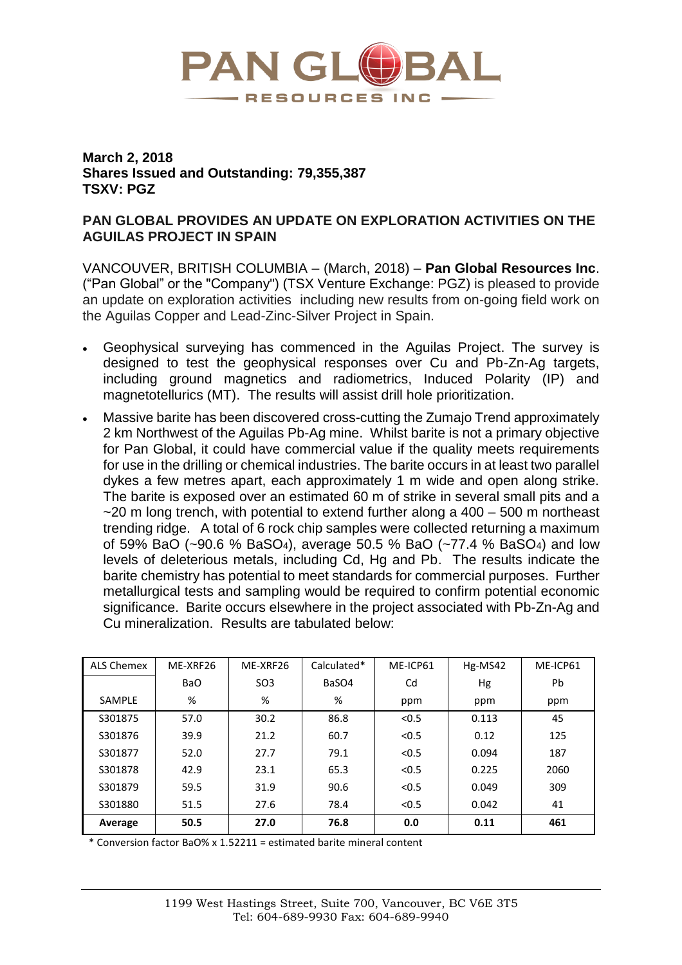

# **March 2, 2018 Shares Issued and Outstanding: 79,355,387 TSXV: PGZ**

## **PAN GLOBAL PROVIDES AN UPDATE ON EXPLORATION ACTIVITIES ON THE AGUILAS PROJECT IN SPAIN**

VANCOUVER, BRITISH COLUMBIA – (March, 2018) – **Pan Global Resources Inc**. ("Pan Global" or the "Company") (TSX Venture Exchange: PGZ) is pleased to provide an update on exploration activities including new results from on-going field work on the Aguilas Copper and Lead-Zinc-Silver Project in Spain.

- Geophysical surveying has commenced in the Aguilas Project. The survey is designed to test the geophysical responses over Cu and Pb-Zn-Ag targets, including ground magnetics and radiometrics, Induced Polarity (IP) and magnetotellurics (MT). The results will assist drill hole prioritization.
- Massive barite has been discovered cross-cutting the Zumajo Trend approximately 2 km Northwest of the Aguilas Pb-Ag mine. Whilst barite is not a primary objective for Pan Global, it could have commercial value if the quality meets requirements for use in the drilling or chemical industries. The barite occurs in at least two parallel dykes a few metres apart, each approximately 1 m wide and open along strike. The barite is exposed over an estimated 60 m of strike in several small pits and a  $\sim$ 20 m long trench, with potential to extend further along a 400 – 500 m northeast trending ridge. A total of 6 rock chip samples were collected returning a maximum of 59% BaO (~90.6 % BaSO4), average 50.5 % BaO (~77.4 % BaSO4) and low levels of deleterious metals, including Cd, Hg and Pb. The results indicate the barite chemistry has potential to meet standards for commercial purposes. Further metallurgical tests and sampling would be required to confirm potential economic significance. Barite occurs elsewhere in the project associated with Pb-Zn-Ag and Cu mineralization. Results are tabulated below:

| ALS Chemex | ME-XRF26 | ME-XRF26        | Calculated* | ME-ICP61 | Hg-MS42 | ME-ICP61 |
|------------|----------|-----------------|-------------|----------|---------|----------|
|            | BaO      | SO <sub>3</sub> | BaSO4       | Cd       | Hg      | Pb       |
| SAMPLE     | %        | %               | %           | ppm      | ppm     | ppm      |
| S301875    | 57.0     | 30.2            | 86.8        | < 0.5    | 0.113   | 45       |
| S301876    | 39.9     | 21.2            | 60.7        | < 0.5    | 0.12    | 125      |
| S301877    | 52.0     | 27.7            | 79.1        | < 0.5    | 0.094   | 187      |
| S301878    | 42.9     | 23.1            | 65.3        | < 0.5    | 0.225   | 2060     |
| S301879    | 59.5     | 31.9            | 90.6        | < 0.5    | 0.049   | 309      |
| S301880    | 51.5     | 27.6            | 78.4        | < 0.5    | 0.042   | 41       |
| Average    | 50.5     | 27.0            | 76.8        | 0.0      | 0.11    | 461      |

\* Conversion factor BaO% x 1.52211 = estimated barite mineral content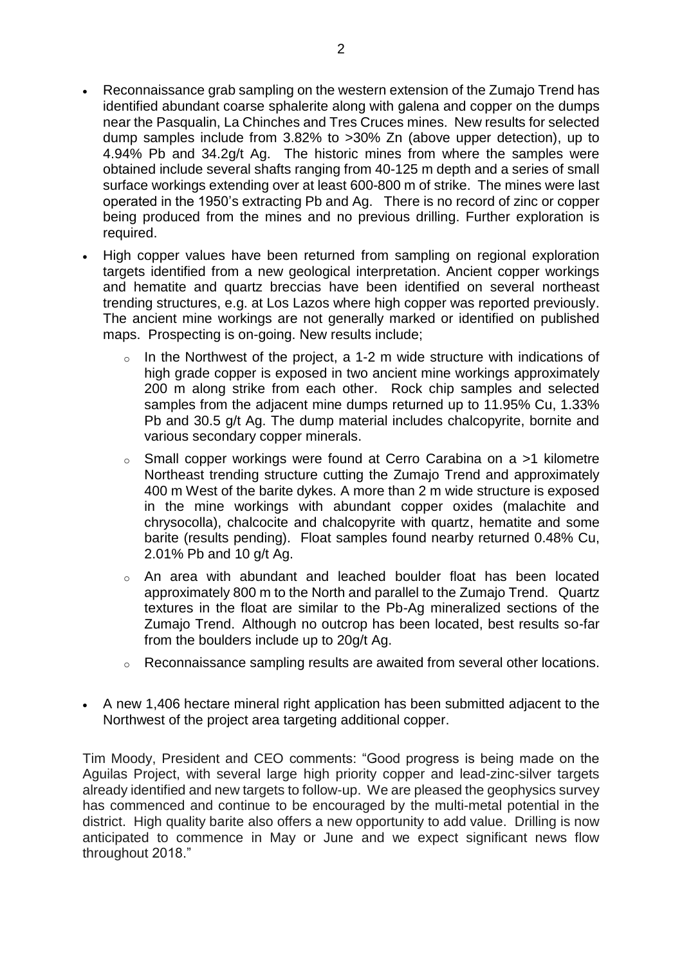- Reconnaissance grab sampling on the western extension of the Zumajo Trend has identified abundant coarse sphalerite along with galena and copper on the dumps near the Pasqualin, La Chinches and Tres Cruces mines. New results for selected dump samples include from 3.82% to >30% Zn (above upper detection), up to 4.94% Pb and 34.2g/t Ag. The historic mines from where the samples were obtained include several shafts ranging from 40-125 m depth and a series of small surface workings extending over at least 600-800 m of strike. The mines were last operated in the 1950's extracting Pb and Ag. There is no record of zinc or copper being produced from the mines and no previous drilling. Further exploration is required.
- High copper values have been returned from sampling on regional exploration targets identified from a new geological interpretation. Ancient copper workings and hematite and quartz breccias have been identified on several northeast trending structures, e.g. at Los Lazos where high copper was reported previously. The ancient mine workings are not generally marked or identified on published maps. Prospecting is on-going. New results include;
	- o In the Northwest of the project, a 1-2 m wide structure with indications of high grade copper is exposed in two ancient mine workings approximately 200 m along strike from each other. Rock chip samples and selected samples from the adjacent mine dumps returned up to 11.95% Cu, 1.33% Pb and 30.5 g/t Ag. The dump material includes chalcopyrite, bornite and various secondary copper minerals.
	- o Small copper workings were found at Cerro Carabina on a >1 kilometre Northeast trending structure cutting the Zumajo Trend and approximately 400 m West of the barite dykes. A more than 2 m wide structure is exposed in the mine workings with abundant copper oxides (malachite and chrysocolla), chalcocite and chalcopyrite with quartz, hematite and some barite (results pending). Float samples found nearby returned 0.48% Cu, 2.01% Pb and 10 g/t Ag.
	- o An area with abundant and leached boulder float has been located approximately 800 m to the North and parallel to the Zumajo Trend. Quartz textures in the float are similar to the Pb-Ag mineralized sections of the Zumajo Trend. Although no outcrop has been located, best results so-far from the boulders include up to 20g/t Ag.
	- o Reconnaissance sampling results are awaited from several other locations.
- A new 1,406 hectare mineral right application has been submitted adjacent to the Northwest of the project area targeting additional copper.

Tim Moody, President and CEO comments: "Good progress is being made on the Aguilas Project, with several large high priority copper and lead-zinc-silver targets already identified and new targets to follow-up. We are pleased the geophysics survey has commenced and continue to be encouraged by the multi-metal potential in the district. High quality barite also offers a new opportunity to add value. Drilling is now anticipated to commence in May or June and we expect significant news flow throughout 2018."